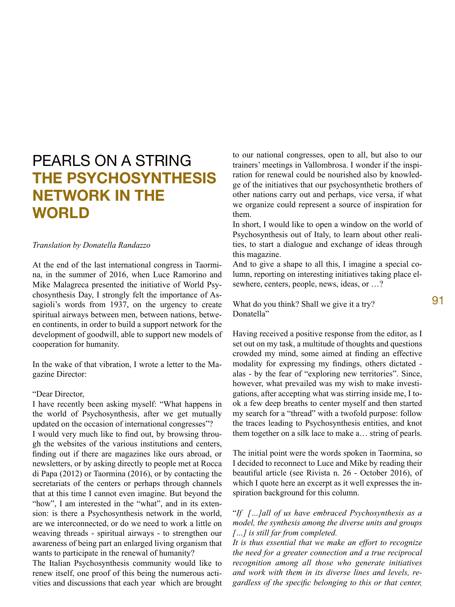## PEARLS ON A STRING **THE PSYCHOSYNTHESIS NETWORK IN THE WORLD**

*Translation by Donatella Randazzo*

At the end of the last international congress in Taormina, in the summer of 2016, when Luce Ramorino and Mike Malagreca presented the initiative of World Psychosynthesis Day, I strongly felt the importance of Assagioli's words from 1937, on the urgency to create spiritual airways between men, between nations, between continents, in order to build a support network for the development of goodwill, able to support new models of cooperation for humanity.

In the wake of that vibration, I wrote a letter to the Magazine Director:

## "Dear Director,

I have recently been asking myself: "What happens in the world of Psychosynthesis, after we get mutually updated on the occasion of international congresses"? I would very much like to find out, by browsing through the websites of the various institutions and centers, finding out if there are magazines like ours abroad, or newsletters, or by asking directly to people met at Rocca di Papa (2012) or Taormina (2016), or by contacting the secretariats of the centers or perhaps through channels that at this time I cannot even imagine. But beyond the "how", I am interested in the "what", and in its extension: is there a Psychosynthesis network in the world, are we interconnected, or do we need to work a little on weaving threads - spiritual airways - to strengthen our awareness of being part an enlarged living organism that wants to participate in the renewal of humanity?

The Italian Psychosynthesis community would like to renew itself, one proof of this being the numerous activities and discussions that each year which are brought to our national congresses, open to all, but also to our trainers' meetings in Vallombrosa. I wonder if the inspiration for renewal could be nourished also by knowledge of the initiatives that our psychosynthetic brothers of other nations carry out and perhaps, vice versa, if what we organize could represent a source of inspiration for them.

In short, I would like to open a window on the world of Psychosynthesis out of Italy, to learn about other realities, to start a dialogue and exchange of ideas through this magazine.

And to give a shape to all this, I imagine a special column, reporting on interesting initiatives taking place elsewhere, centers, people, news, ideas, or …?

What do you think? Shall we give it a try? Donatella"

Having received a positive response from the editor, as I set out on my task, a multitude of thoughts and questions crowded my mind, some aimed at finding an effective modality for expressing my findings, others dictated alas - by the fear of "exploring new territories". Since, however, what prevailed was my wish to make investigations, after accepting what was stirring inside me, I took a few deep breaths to center myself and then started my search for a "thread" with a twofold purpose: follow the traces leading to Psychosynthesis entities, and knot them together on a silk lace to make a… string of pearls.

The initial point were the words spoken in Taormina, so I decided to reconnect to Luce and Mike by reading their beautiful article (see Rivista n. 26 - October 2016), of which I quote here an excerpt as it well expresses the inspiration background for this column.

## "*If […]all of us have embraced Psychosynthesis as a model, the synthesis among the diverse units and groups […] is still far from completed.*

*It is thus essential that we make an effort to recognize the need for a greater connection and a true reciprocal recognition among all those who generate initiatives and work with them in its diverse lines and levels, regardless of the specific belonging to this or that center,*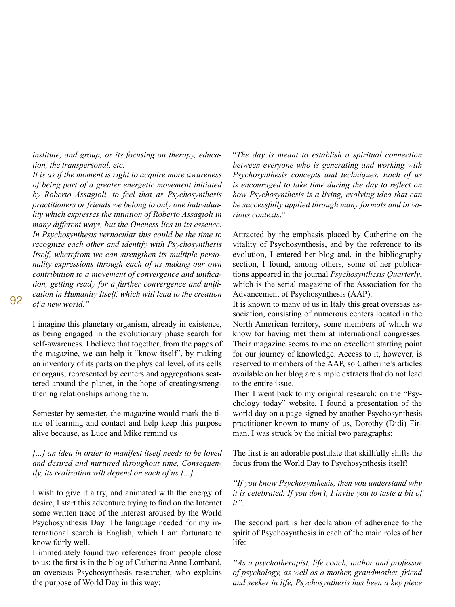*institute, and group, or its focusing on therapy, education, the transpersonal, etc.*

*It is as if the moment is right to acquire more awareness of being part of a greater energetic movement initiated by Roberto Assagioli, to feel that as Psychosynthesis practitioners or friends we belong to only one individuality which expresses the intuition of Roberto Assagioli in many different ways, but the Oneness lies in its essence. In Psychosynthesis vernacular this could be the time to recognize each other and identify with Psychosynthesis Itself, wherefrom we can strengthen its multiple personality expressions through each of us making our own contribution to a movement of convergence and unification, getting ready for a further convergence and unification in Humanity Itself, which will lead to the creation of a new world."*

I imagine this planetary organism, already in existence, as being engaged in the evolutionary phase search for self-awareness. I believe that together, from the pages of the magazine, we can help it "know itself", by making an inventory of its parts on the physical level, of its cells or organs, represented by centers and aggregations scattered around the planet, in the hope of creating/strengthening relationships among them.

Semester by semester, the magazine would mark the time of learning and contact and help keep this purpose alive because, as Luce and Mike remind us

*[...] an idea in order to manifest itself needs to be loved and desired and nurtured throughout time, Consequently, its realization will depend on each of us [...]*

I wish to give it a try, and animated with the energy of desire, I start this adventure trying to find on the Internet some written trace of the interest aroused by the World Psychosynthesis Day. The language needed for my international search is English, which I am fortunate to know fairly well.

I immediately found two references from people close to us: the first is in the blog of Catherine Anne Lombard, an overseas Psychosynthesis researcher, who explains the purpose of World Day in this way:

"*The day is meant to establish a spiritual connection between everyone who is generating and working with Psychosynthesis concepts and techniques. Each of us is encouraged to take time during the day to reflect on how Psychosynthesis is a living, evolving idea that can be successfully applied through many formats and in various contexts*."

Attracted by the emphasis placed by Catherine on the vitality of Psychosynthesis, and by the reference to its evolution, I entered her blog and, in the bibliography section, I found, among others, some of her publications appeared in the journal *Psychosynthesis Quarterly*, which is the serial magazine of the Association for the Advancement of Psychosynthesis (AAP).

It is known to many of us in Italy this great overseas association, consisting of numerous centers located in the North American territory, some members of which we know for having met them at international congresses. Their magazine seems to me an excellent starting point for our journey of knowledge. Access to it, however, is reserved to members of the AAP, so Catherine's articles available on her blog are simple extracts that do not lead to the entire issue.

Then I went back to my original research: on the "Psychology today" website, I found a presentation of the world day on a page signed by another Psychosynthesis practitioner known to many of us, Dorothy (Didi) Firman. I was struck by the initial two paragraphs:

The first is an adorable postulate that skillfully shifts the focus from the World Day to Psychosynthesis itself!

*"If you know Psychosynthesis, then you understand why it is celebrated. If you don't, I invite you to taste a bit of it".*

The second part is her declaration of adherence to the spirit of Psychosynthesis in each of the main roles of her life:

*"As a psychotherapist, life coach, author and professor of psychology, as well as a mother, grandmother, friend and seeker in life, Psychosynthesis has been a key piece*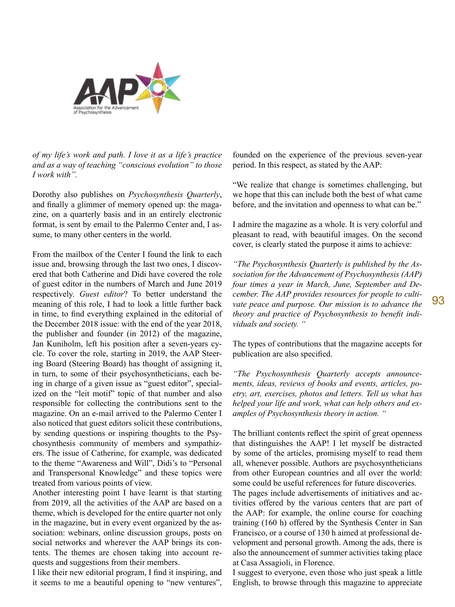

*of my life's work and path. I love it as a life's practice and as a way of teaching "conscious evolution" to those I work with".*

Dorothy also publishes on *Psychosynthesis Quarterly*, and finally a glimmer of memory opened up: the magazine, on a quarterly basis and in an entirely electronic format, is sent by email to the Palermo Center and, I assume, to many other centers in the world.

From the mailbox of the Center I found the link to each issue and, browsing through the last two ones, I discovered that both Catherine and Didi have covered the role of guest editor in the numbers of March and June 2019 respectively. *Guest editor*? To better understand the meaning of this role, I had to look a little further back in time, to find everything explained in the editorial of the December 2018 issue: with the end of the year 2018, the publisher and founder (in 2012) of the magazine, Jan Kuniholm, left his position after a seven-years cycle. To cover the role, starting in 2019, the AAP Steering Board (Steering Board) has thought of assigning it, in turn, to some of their psychosyntheticians, each being in charge of a given issue as "guest editor", specialized on the "leit motif" topic of that number and also responsible for collecting the contributions sent to the magazine. On an e-mail arrived to the Palermo Center I also noticed that guest editors solicit these contributions, by sending questions or inspiring thoughts to the Psychosynthesis community of members and sympathizers. The issue of Catherine, for example, was dedicated to the theme "Awareness and Will", Didi's to "Personal and Transpersonal Knowledge" and these topics were treated from various points of view.

Another interesting point I have learnt is that starting from 2019, all the activities of the AAP are based on a theme, which is developed for the entire quarter not only in the magazine, but in every event organized by the association: webinars, online discussion groups, posts on social networks and wherever the AAP brings its contents. The themes are chosen taking into account requests and suggestions from their members.

I like their new editorial program, I find it inspiring, and it seems to me a beautiful opening to "new ventures",

founded on the experience of the previous seven-year period. In this respect, as stated by the AAP:

"We realize that change is sometimes challenging, but we hope that this can include both the best of what came before, and the invitation and openness to what can be."

I admire the magazine as a whole. It is very colorful and pleasant to read, with beautiful images. On the second cover, is clearly stated the purpose it aims to achieve:

*"The Psychosynthesis Quarterly is published by the Association for the Advancement of Psychosynthesis (AAP) four times a year in March, June, September and December. The AAP provides resources for people to cultivate peace and purpose. Our mission is to advance the theory and practice of Psychosynthesis to benefit individuals and society. "*

The types of contributions that the magazine accepts for publication are also specified.

*"The Psychosynthesis Quarterly accepts announcements, ideas, reviews of books and events, articles, poetry, art, exercises, photos and letters. Tell us what has helped your life and work, what can help others and examples of Psychosynthesis theory in action. "*

The brilliant contents reflect the spirit of great openness that distinguishes the AAP! I let myself be distracted by some of the articles, promising myself to read them all, whenever possible. Authors are psychosyntheticians from other European countries and all over the world: some could be useful references for future discoveries.

The pages include advertisements of initiatives and activities offered by the various centers that are part of the AAP: for example, the online course for coaching training (160 h) offered by the Synthesis Center in San Francisco, or a course of 130 h aimed at professional development and personal growth. Among the ads, there is also the announcement of summer activities taking place at Casa Assagioli, in Florence.

I suggest to everyone, even those who just speak a little English, to browse through this magazine to appreciate